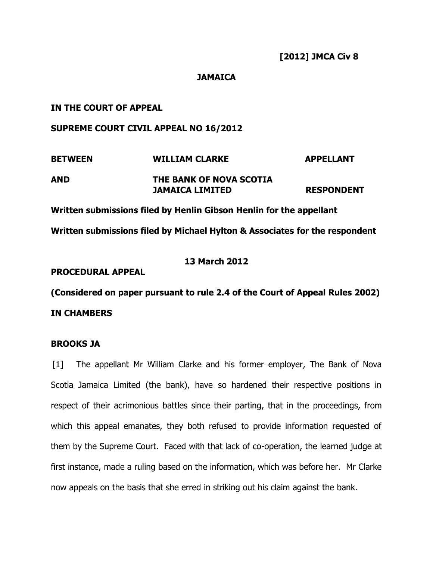## **JAMAICA**

# **IN THE COURT OF APPEAL**

## **SUPREME COURT CIVIL APPEAL NO 16/2012**

| <b>BETWEEN</b> | <b>WILLIAM CLARKE</b>   | <b>APPELLANT</b>  |
|----------------|-------------------------|-------------------|
| AND            | THE BANK OF NOVA SCOTIA |                   |
|                | JAMAICA LIMITED         | <b>RESPONDENT</b> |

**Written submissions filed by Henlin Gibson Henlin for the appellant Written submissions filed by Michael Hylton & Associates for the respondent**

## **13 March 2012**

### **PROCEDURAL APPEAL**

**(Considered on paper pursuant to rule 2.4 of the Court of Appeal Rules 2002) IN CHAMBERS**

## **BROOKS JA**

[1] The appellant Mr William Clarke and his former employer, The Bank of Nova Scotia Jamaica Limited (the bank), have so hardened their respective positions in respect of their acrimonious battles since their parting, that in the proceedings, from which this appeal emanates, they both refused to provide information requested of them by the Supreme Court. Faced with that lack of co-operation, the learned judge at first instance, made a ruling based on the information, which was before her. Mr Clarke now appeals on the basis that she erred in striking out his claim against the bank.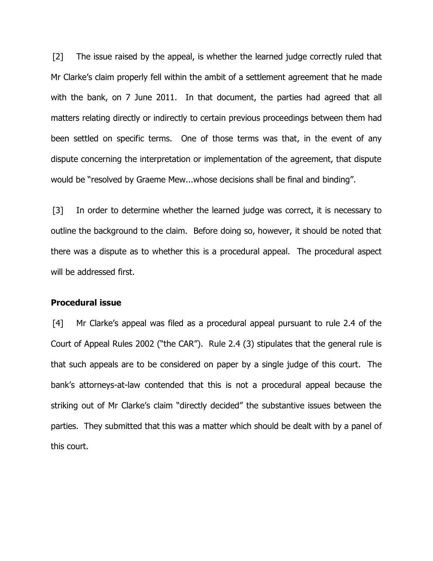[2] The issue raised by the appeal, is whether the learned judge correctly ruled that Mr Clarke's claim properly fell within the ambit of a settlement agreement that he made with the bank, on 7 June 2011. In that document, the parties had agreed that all matters relating directly or indirectly to certain previous proceedings between them had been settled on specific terms. One of those terms was that, in the event of any dispute concerning the interpretation or implementation of the agreement, that dispute would be "resolved by Graeme Mew...whose decisions shall be final and binding".

[3] In order to determine whether the learned judge was correct, it is necessary to outline the background to the claim. Before doing so, however, it should be noted that there was a dispute as to whether this is a procedural appeal. The procedural aspect will be addressed first.

#### **Procedural issue**

[4] Mr Clarke's appeal was filed as a procedural appeal pursuant to rule 2.4 of the Court of Appeal Rules 2002 ("the CAR"). Rule 2.4 (3) stipulates that the general rule is that such appeals are to be considered on paper by a single judge of this court. The bank's attorneys-at-law contended that this is not a procedural appeal because the striking out of Mr Clarke's claim "directly decided" the substantive issues between the parties. They submitted that this was a matter which should be dealt with by a panel of this court.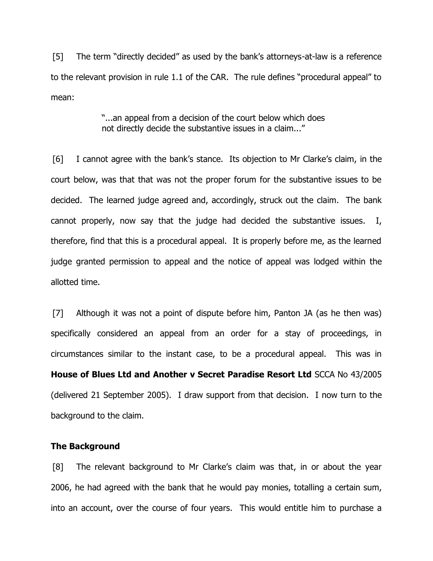[5] The term "directly decided" as used by the bank's attorneys-at-law is a reference to the relevant provision in rule 1.1 of the CAR. The rule defines "procedural appeal" to mean:

## "...an appeal from a decision of the court below which does not directly decide the substantive issues in a claim..."

[6] I cannot agree with the bank's stance. Its objection to Mr Clarke's claim, in the court below, was that that was not the proper forum for the substantive issues to be decided. The learned judge agreed and, accordingly, struck out the claim. The bank cannot properly, now say that the judge had decided the substantive issues. I, therefore, find that this is a procedural appeal. It is properly before me, as the learned judge granted permission to appeal and the notice of appeal was lodged within the allotted time.

[7] Although it was not a point of dispute before him, Panton JA (as he then was) specifically considered an appeal from an order for a stay of proceedings, in circumstances similar to the instant case, to be a procedural appeal. This was in **House of Blues Ltd and Another v Secret Paradise Resort Ltd** SCCA No 43/2005 (delivered 21 September 2005). I draw support from that decision. I now turn to the background to the claim.

### **The Background**

[8] The relevant background to Mr Clarke's claim was that, in or about the year 2006, he had agreed with the bank that he would pay monies, totalling a certain sum, into an account, over the course of four years. This would entitle him to purchase a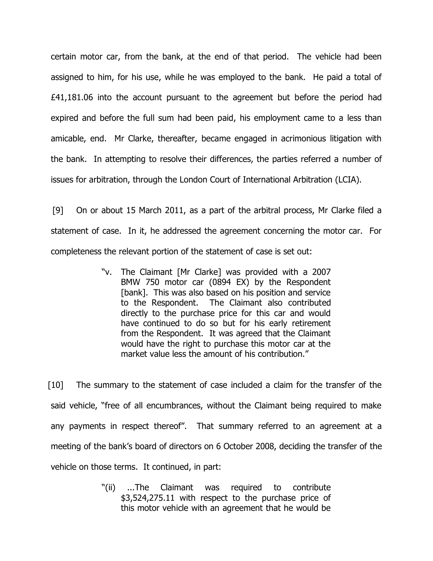certain motor car, from the bank, at the end of that period. The vehicle had been assigned to him, for his use, while he was employed to the bank. He paid a total of £41,181.06 into the account pursuant to the agreement but before the period had expired and before the full sum had been paid, his employment came to a less than amicable, end. Mr Clarke, thereafter, became engaged in acrimonious litigation with the bank. In attempting to resolve their differences, the parties referred a number of issues for arbitration, through the London Court of International Arbitration (LCIA).

[9] On or about 15 March 2011, as a part of the arbitral process, Mr Clarke filed a statement of case. In it, he addressed the agreement concerning the motor car. For completeness the relevant portion of the statement of case is set out:

> "v. The Claimant [Mr Clarke] was provided with a 2007 BMW 750 motor car (0894 EX) by the Respondent [bank]. This was also based on his position and service to the Respondent. The Claimant also contributed directly to the purchase price for this car and would have continued to do so but for his early retirement from the Respondent. It was agreed that the Claimant would have the right to purchase this motor car at the market value less the amount of his contribution."

[10] The summary to the statement of case included a claim for the transfer of the said vehicle, "free of all encumbrances, without the Claimant being required to make any payments in respect thereof". That summary referred to an agreement at a meeting of the bank's board of directors on 6 October 2008, deciding the transfer of the vehicle on those terms. It continued, in part:

> "(ii) ...The Claimant was required to contribute \$3,524,275.11 with respect to the purchase price of this motor vehicle with an agreement that he would be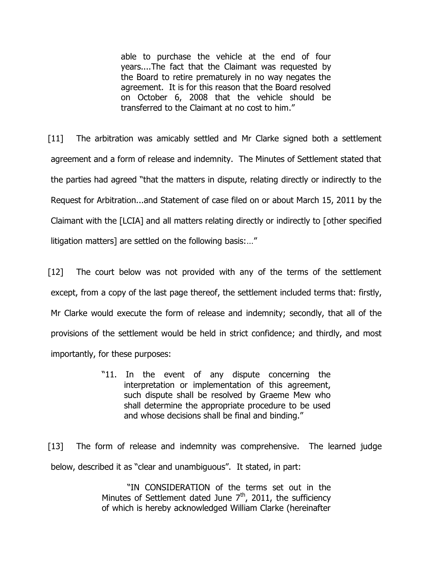able to purchase the vehicle at the end of four years....The fact that the Claimant was requested by the Board to retire prematurely in no way negates the agreement. It is for this reason that the Board resolved on October 6, 2008 that the vehicle should be transferred to the Claimant at no cost to him."

[11] The arbitration was amicably settled and Mr Clarke signed both a settlement agreement and a form of release and indemnity. The Minutes of Settlement stated that the parties had agreed "that the matters in dispute, relating directly or indirectly to the Request for Arbitration...and Statement of case filed on or about March 15, 2011 by the Claimant with the [LCIA] and all matters relating directly or indirectly to [other specified litigation matters] are settled on the following basis:…"

[12] The court below was not provided with any of the terms of the settlement except, from a copy of the last page thereof, the settlement included terms that: firstly, Mr Clarke would execute the form of release and indemnity; secondly, that all of the provisions of the settlement would be held in strict confidence; and thirdly, and most importantly, for these purposes:

> "11. In the event of any dispute concerning the interpretation or implementation of this agreement, such dispute shall be resolved by Graeme Mew who shall determine the appropriate procedure to be used and whose decisions shall be final and binding."

[13] The form of release and indemnity was comprehensive. The learned judge below, described it as "clear and unambiguous". It stated, in part:

> "IN CONSIDERATION of the terms set out in the Minutes of Settlement dated June  $7<sup>th</sup>$ , 2011, the sufficiency of which is hereby acknowledged William Clarke (hereinafter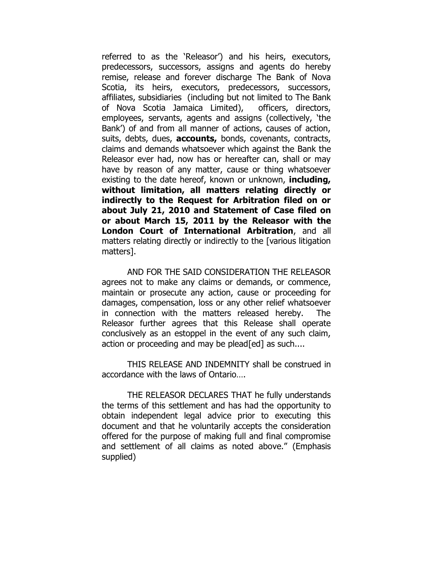referred to as the 'Releasor') and his heirs, executors, predecessors, successors, assigns and agents do hereby remise, release and forever discharge The Bank of Nova Scotia, its heirs, executors, predecessors, successors, affiliates, subsidiaries (including but not limited to The Bank of Nova Scotia Jamaica Limited), officers, directors, employees, servants, agents and assigns (collectively, 'the Bank') of and from all manner of actions, causes of action, suits, debts, dues, **accounts,** bonds, covenants, contracts, claims and demands whatsoever which against the Bank the Releasor ever had, now has or hereafter can, shall or may have by reason of any matter, cause or thing whatsoever existing to the date hereof, known or unknown, **including, without limitation, all matters relating directly or indirectly to the Request for Arbitration filed on or about July 21, 2010 and Statement of Case filed on or about March 15, 2011 by the Releasor with the London Court of International Arbitration**, and all matters relating directly or indirectly to the [various litigation matters].

AND FOR THE SAID CONSIDERATION THE RELEASOR agrees not to make any claims or demands, or commence, maintain or prosecute any action, cause or proceeding for damages, compensation, loss or any other relief whatsoever in connection with the matters released hereby. The Releasor further agrees that this Release shall operate conclusively as an estoppel in the event of any such claim, action or proceeding and may be plead [ed] as such....

THIS RELEASE AND INDEMNITY shall be construed in accordance with the laws of Ontario….

THE RELEASOR DECLARES THAT he fully understands the terms of this settlement and has had the opportunity to obtain independent legal advice prior to executing this document and that he voluntarily accepts the consideration offered for the purpose of making full and final compromise and settlement of all claims as noted above." (Emphasis supplied)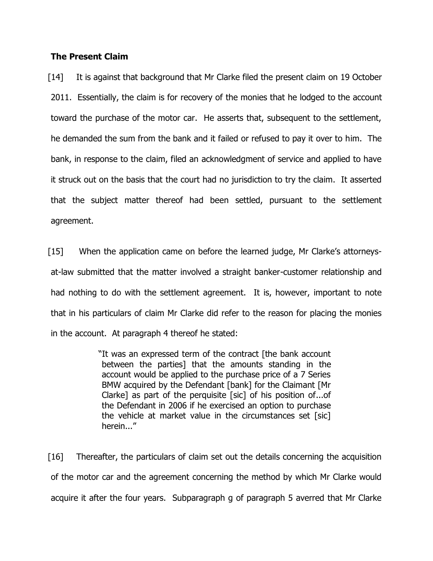### **The Present Claim**

[14] It is against that background that Mr Clarke filed the present claim on 19 October 2011. Essentially, the claim is for recovery of the monies that he lodged to the account toward the purchase of the motor car. He asserts that, subsequent to the settlement, he demanded the sum from the bank and it failed or refused to pay it over to him. The bank, in response to the claim, filed an acknowledgment of service and applied to have it struck out on the basis that the court had no jurisdiction to try the claim. It asserted that the subject matter thereof had been settled, pursuant to the settlement agreement.

[15] When the application came on before the learned judge, Mr Clarke's attorneysat-law submitted that the matter involved a straight banker-customer relationship and had nothing to do with the settlement agreement. It is, however, important to note that in his particulars of claim Mr Clarke did refer to the reason for placing the monies in the account. At paragraph 4 thereof he stated:

> "It was an expressed term of the contract [the bank account between the parties] that the amounts standing in the account would be applied to the purchase price of a 7 Series BMW acquired by the Defendant [bank] for the Claimant [Mr Clarke] as part of the perquisite [sic] of his position of...of the Defendant in 2006 if he exercised an option to purchase the vehicle at market value in the circumstances set [sic] herein..."

[16] Thereafter, the particulars of claim set out the details concerning the acquisition of the motor car and the agreement concerning the method by which Mr Clarke would acquire it after the four years. Subparagraph g of paragraph 5 averred that Mr Clarke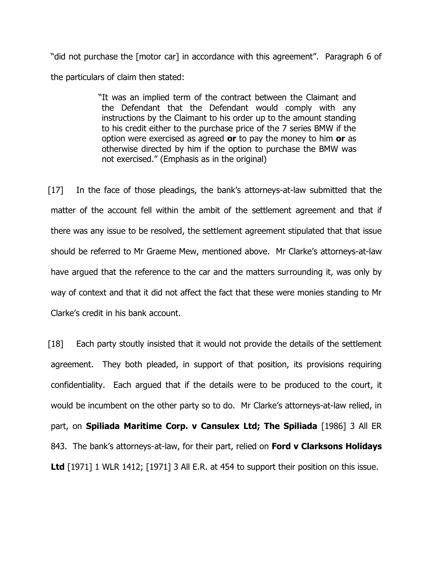"did not purchase the [motor car] in accordance with this agreement". Paragraph 6 of the particulars of claim then stated:

> "It was an implied term of the contract between the Claimant and the Defendant that the Defendant would comply with any instructions by the Claimant to his order up to the amount standing to his credit either to the purchase price of the 7 series BMW if the option were exercised as agreed **or** to pay the money to him **or** as otherwise directed by him if the option to purchase the BMW was not exercised." (Emphasis as in the original)

[17] In the face of those pleadings, the bank's attorneys-at-law submitted that the matter of the account fell within the ambit of the settlement agreement and that if there was any issue to be resolved, the settlement agreement stipulated that that issue should be referred to Mr Graeme Mew, mentioned above. Mr Clarke's attorneys-at-law have argued that the reference to the car and the matters surrounding it, was only by way of context and that it did not affect the fact that these were monies standing to Mr Clarke's credit in his bank account.

[18] Each party stoutly insisted that it would not provide the details of the settlement agreement. They both pleaded, in support of that position, its provisions requiring confidentiality. Each argued that if the details were to be produced to the court, it would be incumbent on the other party so to do. Mr Clarke's attorneys-at-law relied, in part, on **Spiliada Maritime Corp. v Cansulex Ltd; The Spiliada** [1986] 3 All ER 843. The bank's attorneys-at-law, for their part, relied on **Ford v Clarksons Holidays**  Ltd [1971] 1 WLR 1412; [1971] 3 All E.R. at 454 to support their position on this issue.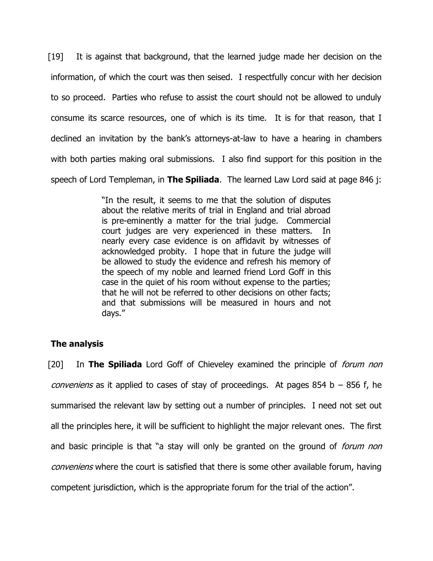[19] It is against that background, that the learned judge made her decision on the information, of which the court was then seised. I respectfully concur with her decision to so proceed. Parties who refuse to assist the court should not be allowed to unduly consume its scarce resources, one of which is its time. It is for that reason, that I declined an invitation by the bank's attorneys-at-law to have a hearing in chambers with both parties making oral submissions. I also find support for this position in the speech of Lord Templeman, in **The Spiliada**. The learned Law Lord said at page 846 j:

> "In the result, it seems to me that the solution of disputes about the relative merits of trial in England and trial abroad is pre-eminently a matter for the trial judge. Commercial court judges are very experienced in these matters. In nearly every case evidence is on affidavit by witnesses of acknowledged probity. I hope that in future the judge will be allowed to study the evidence and refresh his memory of the speech of my noble and learned friend Lord Goff in this case in the quiet of his room without expense to the parties; that he will not be referred to other decisions on other facts; and that submissions will be measured in hours and not days."

## **The analysis**

[20] In **The Spiliada** Lord Goff of Chieveley examined the principle of forum non *conveniens* as it applied to cases of stay of proceedings. At pages 854 b  $-$  856 f, he summarised the relevant law by setting out a number of principles. I need not set out all the principles here, it will be sufficient to highlight the major relevant ones. The first and basic principle is that "a stay will only be granted on the ground of *forum non* conveniens where the court is satisfied that there is some other available forum, having competent jurisdiction, which is the appropriate forum for the trial of the action".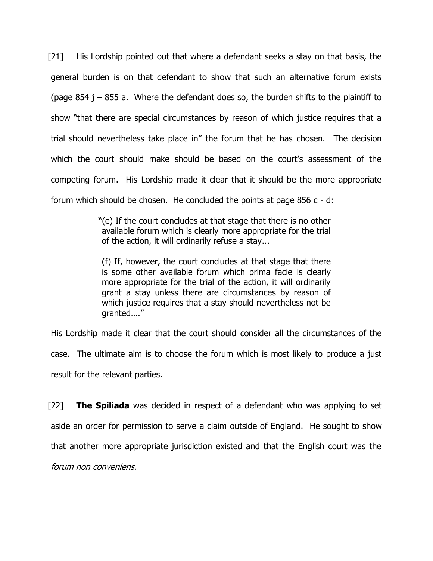[21] His Lordship pointed out that where a defendant seeks a stay on that basis, the general burden is on that defendant to show that such an alternative forum exists (page 854  $j - 855$  a. Where the defendant does so, the burden shifts to the plaintiff to show "that there are special circumstances by reason of which justice requires that a trial should nevertheless take place in" the forum that he has chosen. The decision which the court should make should be based on the court's assessment of the competing forum. His Lordship made it clear that it should be the more appropriate forum which should be chosen. He concluded the points at page 856 c - d:

> "(e) If the court concludes at that stage that there is no other available forum which is clearly more appropriate for the trial of the action, it will ordinarily refuse a stay...

(f) If, however, the court concludes at that stage that there is some other available forum which prima facie is clearly more appropriate for the trial of the action, it will ordinarily grant a stay unless there are circumstances by reason of which justice requires that a stay should nevertheless not be granted…."

His Lordship made it clear that the court should consider all the circumstances of the case. The ultimate aim is to choose the forum which is most likely to produce a just result for the relevant parties.

[22] **The Spiliada** was decided in respect of a defendant who was applying to set aside an order for permission to serve a claim outside of England. He sought to show that another more appropriate jurisdiction existed and that the English court was the forum non conveniens.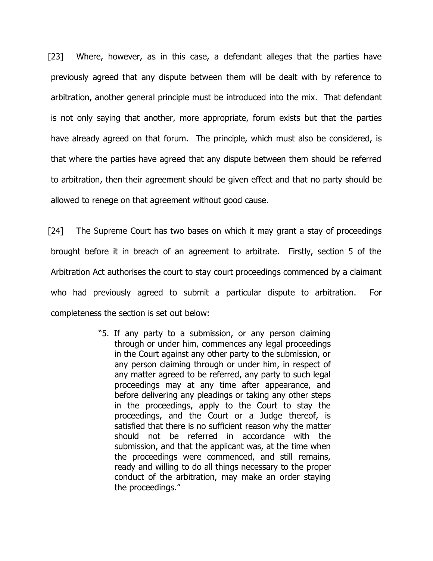[23] Where, however, as in this case, a defendant alleges that the parties have previously agreed that any dispute between them will be dealt with by reference to arbitration, another general principle must be introduced into the mix. That defendant is not only saying that another, more appropriate, forum exists but that the parties have already agreed on that forum. The principle, which must also be considered, is that where the parties have agreed that any dispute between them should be referred to arbitration, then their agreement should be given effect and that no party should be allowed to renege on that agreement without good cause.

[24] The Supreme Court has two bases on which it may grant a stay of proceedings brought before it in breach of an agreement to arbitrate. Firstly, section 5 of the Arbitration Act authorises the court to stay court proceedings commenced by a claimant who had previously agreed to submit a particular dispute to arbitration. For completeness the section is set out below:

> "5. If any party to a submission, or any person claiming through or under him, commences any legal proceedings in the Court against any other party to the submission, or any person claiming through or under him, in respect of any matter agreed to be referred, any party to such legal proceedings may at any time after appearance, and before delivering any pleadings or taking any other steps in the proceedings, apply to the Court to stay the proceedings, and the Court or a Judge thereof, is satisfied that there is no sufficient reason why the matter should not be referred in accordance with the submission, and that the applicant was, at the time when the proceedings were commenced, and still remains, ready and willing to do all things necessary to the proper conduct of the arbitration, may make an order staying the proceedings."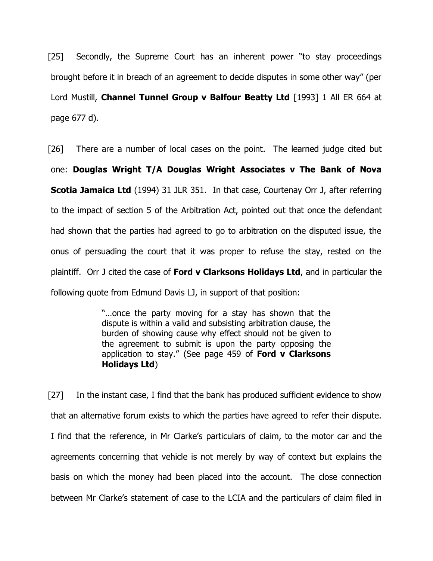[25] Secondly, the Supreme Court has an inherent power "to stay proceedings brought before it in breach of an agreement to decide disputes in some other way" (per Lord Mustill, **Channel Tunnel Group v Balfour Beatty Ltd** [1993] 1 All ER 664 at page 677 d).

[26] There are a number of local cases on the point. The learned judge cited but one: **Douglas Wright T/A Douglas Wright Associates v The Bank of Nova Scotia Jamaica Ltd** (1994) 31 JLR 351. In that case, Courtenay Orr J, after referring to the impact of section 5 of the Arbitration Act, pointed out that once the defendant had shown that the parties had agreed to go to arbitration on the disputed issue, the onus of persuading the court that it was proper to refuse the stay, rested on the plaintiff. Orr J cited the case of **Ford v Clarksons Holidays Ltd**, and in particular the following quote from Edmund Davis LJ, in support of that position:

> "…once the party moving for a stay has shown that the dispute is within a valid and subsisting arbitration clause, the burden of showing cause why effect should not be given to the agreement to submit is upon the party opposing the application to stay." (See page 459 of **Ford v Clarksons Holidays Ltd**)

[27] In the instant case, I find that the bank has produced sufficient evidence to show that an alternative forum exists to which the parties have agreed to refer their dispute. I find that the reference, in Mr Clarke's particulars of claim, to the motor car and the agreements concerning that vehicle is not merely by way of context but explains the basis on which the money had been placed into the account. The close connection between Mr Clarke's statement of case to the LCIA and the particulars of claim filed in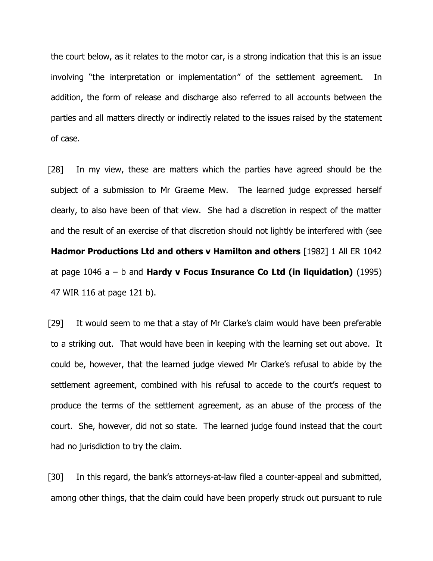the court below, as it relates to the motor car, is a strong indication that this is an issue involving "the interpretation or implementation" of the settlement agreement. In addition, the form of release and discharge also referred to all accounts between the parties and all matters directly or indirectly related to the issues raised by the statement of case.

[28] In my view, these are matters which the parties have agreed should be the subject of a submission to Mr Graeme Mew. The learned judge expressed herself clearly, to also have been of that view. She had a discretion in respect of the matter and the result of an exercise of that discretion should not lightly be interfered with (see **Hadmor Productions Ltd and others v Hamilton and others** [1982] 1 All ER 1042 at page 1046 a – b and **Hardy v Focus Insurance Co Ltd (in liquidation)** (1995) 47 WIR 116 at page 121 b).

[29] It would seem to me that a stay of Mr Clarke's claim would have been preferable to a striking out. That would have been in keeping with the learning set out above. It could be, however, that the learned judge viewed Mr Clarke's refusal to abide by the settlement agreement, combined with his refusal to accede to the court's request to produce the terms of the settlement agreement, as an abuse of the process of the court. She, however, did not so state. The learned judge found instead that the court had no jurisdiction to try the claim.

[30] In this regard, the bank's attorneys-at-law filed a counter-appeal and submitted, among other things, that the claim could have been properly struck out pursuant to rule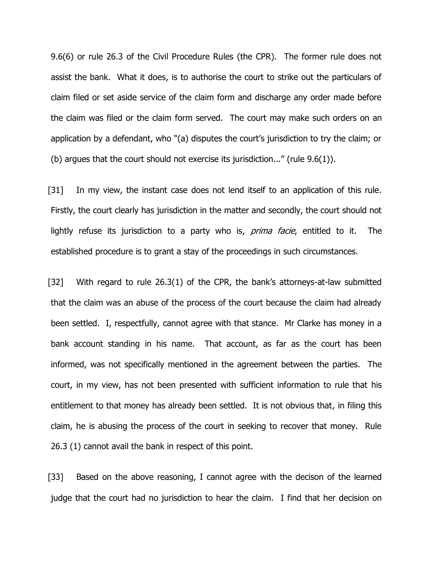9.6(6) or rule 26.3 of the Civil Procedure Rules (the CPR). The former rule does not assist the bank. What it does, is to authorise the court to strike out the particulars of claim filed or set aside service of the claim form and discharge any order made before the claim was filed or the claim form served. The court may make such orders on an application by a defendant, who "(a) disputes the court's jurisdiction to try the claim; or (b) argues that the court should not exercise its jurisdiction..." (rule 9.6(1)).

[31] In my view, the instant case does not lend itself to an application of this rule. Firstly, the court clearly has jurisdiction in the matter and secondly, the court should not lightly refuse its jurisdiction to a party who is, *prima facie*, entitled to it. The established procedure is to grant a stay of the proceedings in such circumstances.

[32] With regard to rule 26.3(1) of the CPR, the bank's attorneys-at-law submitted that the claim was an abuse of the process of the court because the claim had already been settled. I, respectfully, cannot agree with that stance. Mr Clarke has money in a bank account standing in his name. That account, as far as the court has been informed, was not specifically mentioned in the agreement between the parties. The court, in my view, has not been presented with sufficient information to rule that his entitlement to that money has already been settled. It is not obvious that, in filing this claim, he is abusing the process of the court in seeking to recover that money. Rule 26.3 (1) cannot avail the bank in respect of this point.

[33] Based on the above reasoning, I cannot agree with the decison of the learned judge that the court had no jurisdiction to hear the claim. I find that her decision on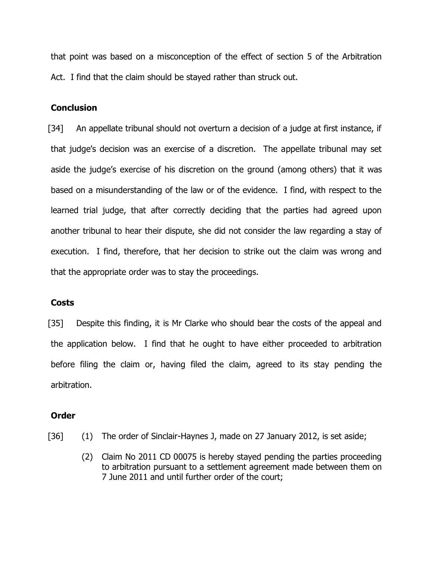that point was based on a misconception of the effect of section 5 of the Arbitration Act. I find that the claim should be stayed rather than struck out.

### **Conclusion**

[34] An appellate tribunal should not overturn a decision of a judge at first instance, if that judge's decision was an exercise of a discretion. The appellate tribunal may set aside the judge's exercise of his discretion on the ground (among others) that it was based on a misunderstanding of the law or of the evidence. I find, with respect to the learned trial judge, that after correctly deciding that the parties had agreed upon another tribunal to hear their dispute, she did not consider the law regarding a stay of execution. I find, therefore, that her decision to strike out the claim was wrong and that the appropriate order was to stay the proceedings.

### **Costs**

[35] Despite this finding, it is Mr Clarke who should bear the costs of the appeal and the application below. I find that he ought to have either proceeded to arbitration before filing the claim or, having filed the claim, agreed to its stay pending the arbitration.

### **Order**

- [36] (1) The order of Sinclair-Haynes J, made on 27 January 2012, is set aside;
	- (2) Claim No 2011 CD 00075 is hereby stayed pending the parties proceeding to arbitration pursuant to a settlement agreement made between them on 7 June 2011 and until further order of the court;